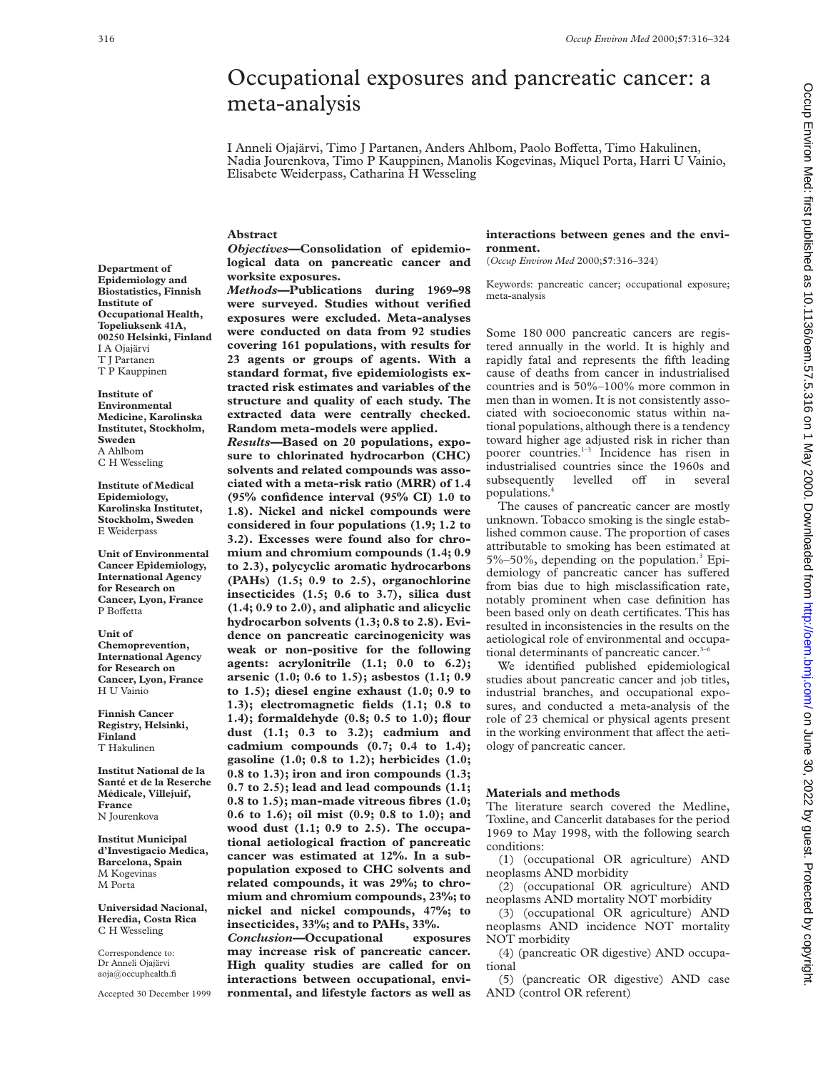# Occupational exposures and pancreatic cancer: a meta-analysis

I Anneli Ojajärvi, Timo J Partanen, Anders Ahlbom, Paolo Boffetta, Timo Hakulinen, Nadia Jourenkova, Timo P Kauppinen, Manolis Kogevinas, Miquel Porta, Harri U Vainio, Elisabete Weiderpass, Catharina H Wesseling

# **Abstract**

*Objectives***—Consolidation of epidemiological data on pancreatic cancer and worksite exposures.**

*Methods***—Publications during 1969–98 were surveyed. Studies without verified exposures were excluded. Meta-analyses were conducted on data from 92 studies covering 161 populations, with results for 23 agents or groups of agents. With a standard format, five epidemiologists extracted risk estimates and variables of the structure and quality of each study. The extracted data were centrally checked. Random meta-models were applied.**

*Results***—Based on 20 populations, exposure to chlorinated hydrocarbon (CHC) solvents and related compounds was associated with a meta-risk ratio (MRR) of 1.4 (95% confidence interval (95% CI) 1.0 to 1.8). Nickel and nickel compounds were considered in four populations (1.9; 1.2 to 3.2). Excesses were found also for chromium and chromium compounds (1.4; 0.9 to 2.3), polycyclic aromatic hydrocarbons (PAHs) (1.5; 0.9 to 2.5), organochlorine insecticides (1.5; 0.6 to 3.7), silica dust (1.4; 0.9 to 2.0), and aliphatic and alicyclic hydrocarbon solvents (1.3; 0.8 to 2.8). Evidence on pancreatic carcinogenicity was weak or non-positive for the following agents: acrylonitrile (1.1; 0.0 to 6.2); arsenic (1.0; 0.6 to 1.5); asbestos (1.1; 0.9 to 1.5); diesel engine exhaust (1.0; 0.9 to 1.3); electromagnetic fields (1.1; 0.8 to 1.4); formaldehyde (0.8; 0.5 to 1.0); flour dust (1.1; 0.3 to 3.2); cadmium and cadmium compounds (0.7; 0.4 to 1.4); gasoline (1.0; 0.8 to 1.2); herbicides (1.0; 0.8 to 1.3); iron and iron compounds (1.3; 0.7 to 2.5); lead and lead compounds (1.1; 0.8 to 1.5); man-made vitreous fibres (1.0; 0.6 to 1.6); oil mist (0.9; 0.8 to 1.0); and wood dust (1.1; 0.9 to 2.5). The occupational aetiological fraction of pancreatic cancer was estimated at 12%. In a subpopulation exposed to CHC solvents and related compounds, it was 29%; to chromium and chromium compounds, 23%; to nickel and nickel compounds, 47%; to insecticides, 33%; and to PAHs, 33%.**

*Conclusion***—Occupational exposures may increase risk of pancreatic cancer. High quality studies are called for on interactions between occupational, environmental, and lifestyle factors as well as**

#### **interactions between genes and the environment.**

(*Occup Environ Med* 2000;**57**:316–324)

Keywords: pancreatic cancer; occupational exposure; meta-analysis

Some 180 000 pancreatic cancers are registered annually in the world. It is highly and rapidly fatal and represents the fifth leading cause of deaths from cancer in industrialised countries and is 50%–100% more common in men than in women. It is not consistently associated with socioeconomic status within national populations, although there is a tendency toward higher age adjusted risk in richer than poorer countries.<sup>1-3</sup> Incidence has risen in industrialised countries since the 1960s and subsequently levelled off in several populations.4

The causes of pancreatic cancer are mostly unknown. Tobacco smoking is the single established common cause. The proportion of cases attributable to smoking has been estimated at  $5\%$ –50%, depending on the population.<sup>3</sup> Epi– demiology of pancreatic cancer has suffered from bias due to high misclassification rate, notably prominent when case definition has been based only on death certificates. This has resulted in inconsistencies in the results on the aetiological role of environmental and occupational determinants of pancreatic cancer. $3-6$ 

We identified published epidemiological studies about pancreatic cancer and job titles, industrial branches, and occupational exposures, and conducted a meta-analysis of the role of 23 chemical or physical agents present in the working environment that affect the aetiology of pancreatic cancer.

#### **Materials and methods**

The literature search covered the Medline, Toxline, and Cancerlit databases for the period 1969 to May 1998, with the following search conditions:

(1) (occupational OR agriculture) AND neoplasms AND morbidity

(2) (occupational OR agriculture) AND neoplasms AND mortality NOT morbidity

(3) (occupational OR agriculture) AND neoplasms AND incidence NOT mortality NOT morbidity

(4) (pancreatic OR digestive) AND occupational

(5) (pancreatic OR digestive) AND case AND (control OR referent)

Occup Environ Med: first published as 10.11136/oem 57.5.316 on 1 May 2000. Downloaded from http://oem.bmj.com/ on 1 May 2000. Downloaded from http://oem.bmj.com/ on dune 30, 2022 by guest. Protected by copyright Once 19, 2022 by guest. Protected by copyright. Protect as 10.126 and May 2000. Downloaded from http://oem.bunj.com/ Oulla Published as 10.1136 on 10.1136 on 10.1136/oem.57.5.316 on 1 May 2000. Downloaded from Http://oem.b

**Department of Epidemiology and Biostatistics, Finnish Institute of Occupational Health, Topeliuksenk 41A, 00250 Helsinki, Finland** I A Ojajärvi T J Partanen T P Kauppinen

**Institute of Environmental Medicine, Karolinska Institutet, Stockholm, Sweden** A Ahlbom C H Wesseling

**Institute of Medical Epidemiology, Karolinska Institutet, Stockholm, Sweden** E Weiderpass

**Unit of Environmental Cancer Epidemiology, International Agency for Research on Cancer, Lyon, France** P Boffetta

**Unit of Chemoprevention, International Agency for Research on Cancer, Lyon, France** H U Vainio

**Finnish Cancer Registry, Helsinki, Finland** T Hakulinen

**Institut National de la Santé et de la Reserche Médicale, Villejuif, France** N Jourenkova

**Institut Municipal d'Investigacio Medica, Barcelona, Spain** M Kogevinas M Porta

**Universidad Nacional, Heredia, Costa Rica** C H Wesseling

Correspondence to: Dr Anneli Ojajärvi aoja@occuphealth.fi

Accepted 30 December 1999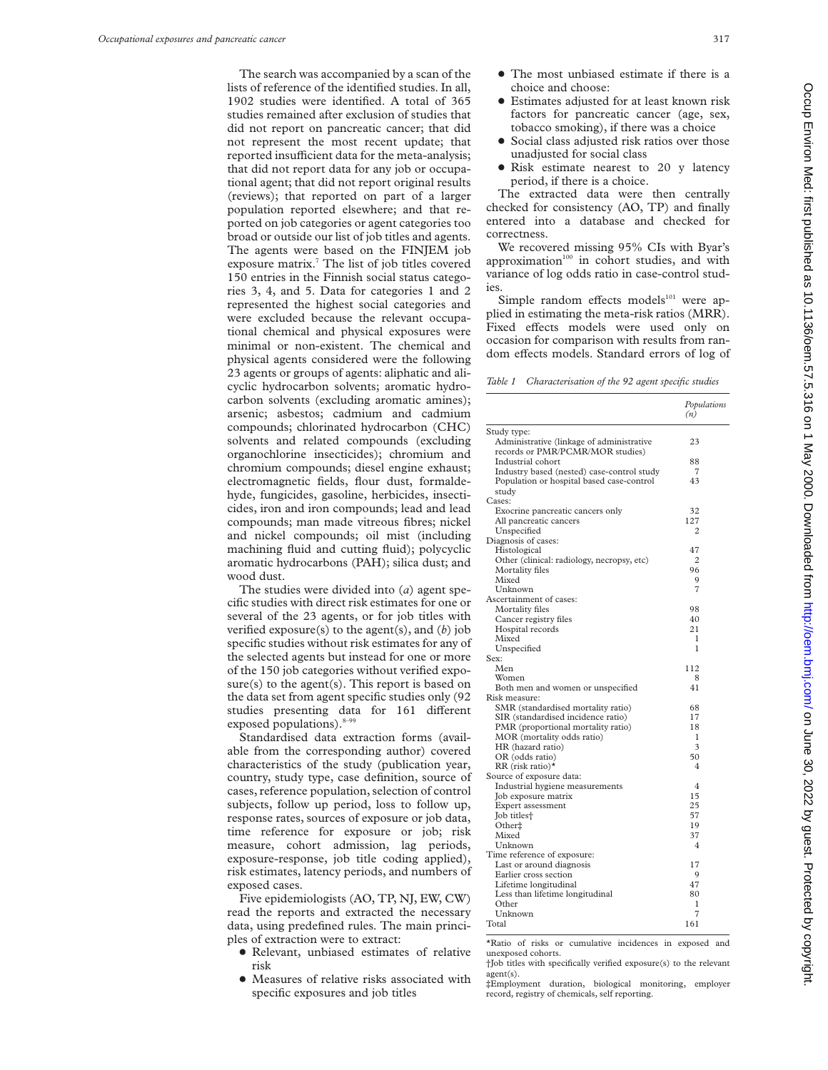The search was accompanied by a scan of the lists of reference of the identified studies. In all, 1902 studies were identified. A total of 365 studies remained after exclusion of studies that did not report on pancreatic cancer; that did not represent the most recent update; that reported insufficient data for the meta-analysis; that did not report data for any job or occupational agent; that did not report original results (reviews); that reported on part of a larger population reported elsewhere; and that reported on job categories or agent categories too broad or outside our list of job titles and agents. The agents were based on the FINJEM job exposure matrix.<sup>7</sup> The list of job titles covered 150 entries in the Finnish social status categories 3, 4, and 5. Data for categories 1 and 2 represented the highest social categories and were excluded because the relevant occupational chemical and physical exposures were minimal or non-existent. The chemical and physical agents considered were the following 23 agents or groups of agents: aliphatic and alicyclic hydrocarbon solvents; aromatic hydrocarbon solvents (excluding aromatic amines); arsenic; asbestos; cadmium and cadmium compounds; chlorinated hydrocarbon (CHC) solvents and related compounds (excluding organochlorine insecticides); chromium and chromium compounds; diesel engine exhaust; electromagnetic fields, flour dust, formaldehyde, fungicides, gasoline, herbicides, insecticides, iron and iron compounds; lead and lead compounds; man made vitreous fibres; nickel and nickel compounds; oil mist (including machining fluid and cutting fluid); polycyclic aromatic hydrocarbons (PAH); silica dust; and wood dust.

The studies were divided into (*a*) agent specific studies with direct risk estimates for one or several of the 23 agents, or for job titles with verified exposure(s) to the agent(s), and (*b*) job specific studies without risk estimates for any of the selected agents but instead for one or more of the 150 job categories without verified exposure(s) to the agent(s). This report is based on the data set from agent specific studies only (92 studies presenting data for 161 different exposed populations). $8-99$ 

Standardised data extraction forms (available from the corresponding author) covered characteristics of the study (publication year, country, study type, case definition, source of cases, reference population, selection of control subjects, follow up period, loss to follow up, response rates, sources of exposure or job data, time reference for exposure or job; risk measure, cohort admission, lag periods, exposure-response, job title coding applied), risk estimates, latency periods, and numbers of exposed cases.

Five epidemiologists (AO, TP, NJ, EW, CW) read the reports and extracted the necessary data, using predefined rules. The main principles of extraction were to extract:

- Relevant, unbiased estimates of relative risk
- $\bullet$  Measures of relative risks associated with specific exposures and job titles
- Estimates adjusted for at least known risk factors for pancreatic cancer (age, sex, tobacco smoking), if there was a choice
- Social class adjusted risk ratios over those unadjusted for social class
- Risk estimate nearest to 20 y latency period, if there is a choice.

The extracted data were then centrally checked for consistency (AO, TP) and finally entered into a database and checked for correctness.

We recovered missing 95% CIs with Byar's approximation<sup>100</sup> in cohort studies, and with variance of log odds ratio in case-control studies.

Simple random effects models<sup>101</sup> were applied in estimating the meta-risk ratios (MRR). Fixed effects models were used only on occasion for comparison with results from random effects models. Standard errors of log of

*Table 1 Characterisation of the 92 agent specific studies*

|                                                                               | Populations<br>(n)   |
|-------------------------------------------------------------------------------|----------------------|
| Study type:                                                                   |                      |
| Administrative (linkage of administrative<br>records or PMR/PCMR/MOR studies) | 23                   |
| Industrial cohort                                                             | 88                   |
| Industry based (nested) case-control study                                    | 7                    |
| Population or hospital based case-control<br>study                            | 43                   |
| Cases:                                                                        |                      |
| Exocrine pancreatic cancers only                                              | 32                   |
| All pancreatic cancers                                                        | 127                  |
| Unspecified                                                                   | 2                    |
| Diagnosis of cases:                                                           |                      |
| Histological                                                                  | 47                   |
| Other (clinical: radiology, necropsy, etc)                                    | $\overline{c}$       |
| Mortality files                                                               | 96                   |
| Mixed                                                                         | $\mathbf Q$          |
| Unknown                                                                       | 7                    |
| Ascertainment of cases:                                                       |                      |
| Mortality files                                                               | 98                   |
| Cancer registry files                                                         | 40                   |
| Hospital records                                                              | 21                   |
| Mixed                                                                         | 1                    |
| Unspecified                                                                   | 1                    |
| Sex:                                                                          |                      |
| Men                                                                           | 112                  |
| Women                                                                         | 8                    |
| Both men and women or unspecified                                             | 41                   |
| Risk measure:                                                                 |                      |
| SMR (standardised mortality ratio)                                            | 68                   |
| SIR (standardised incidence ratio)                                            | 17                   |
| PMR (proportional mortality ratio)                                            | 18                   |
| MOR (mortality odds ratio)                                                    | 1                    |
| HR (hazard ratio)                                                             | 3                    |
| OR (odds ratio)                                                               | 50                   |
| RR (risk ratio) $*$                                                           | $\overline{4}$       |
| Source of exposure data:                                                      |                      |
| Industrial hygiene measurements                                               | 4                    |
| Job exposure matrix                                                           | 15                   |
| Expert assessment                                                             | 25                   |
| Job titles <sup>+</sup>                                                       | 57<br>19             |
| Other‡<br>Mixed                                                               |                      |
| Unknown                                                                       | 37<br>$\overline{4}$ |
|                                                                               |                      |
| Time reference of exposure:<br>Last or around diagnosis                       | 17                   |
| Earlier cross section                                                         | 9                    |
|                                                                               | 47                   |
| Lifetime longitudinal<br>Less than lifetime longitudinal                      | 80                   |
| Other                                                                         | 1                    |
| Unknown                                                                       | 7                    |
| Total                                                                         | 161                  |
|                                                                               |                      |

\*Ratio of risks or cumulative incidences in exposed and unexposed cohorts.

†Job titles with specifically verified exposure(s) to the relevant agent(s).

‡Employment duration, biological monitoring, employer record, registry of chemicals, self reporting.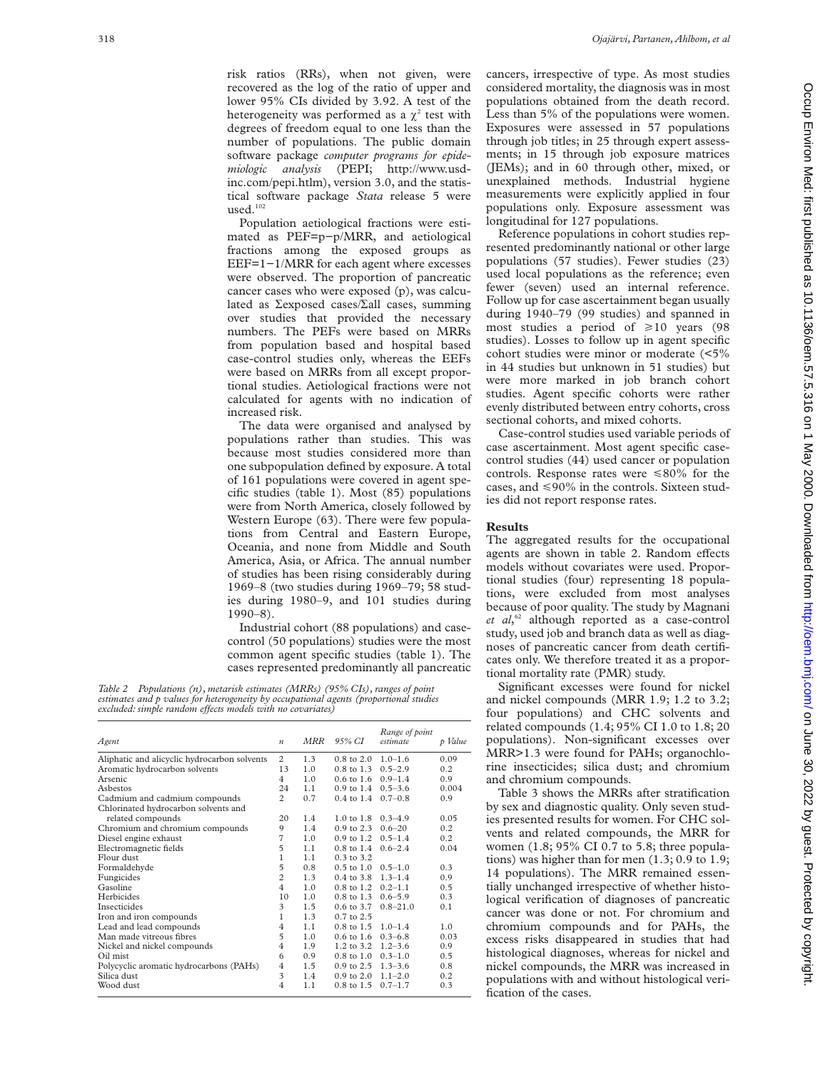risk ratios (RRs), when not given, were recovered as the log of the ratio of upper and lower 95% CIs divided by 3.92. A test of the heterogeneity was performed as a  $\chi^2$  test with degrees of freedom equal to one less than the number of populations. The public domain software package *computer programs for epidemiologic analysis* (PEPI; http://www.usdinc.com/pepi.htlm), version 3.0, and the statistical software package *Stata* release 5 were used.<sup>102</sup>

Population aetiological fractions were estimated as PEF=p−p/MRR, and aetiological fractions among the exposed groups as EEF=1−1/MRR for each agent where excesses were observed. The proportion of pancreatic cancer cases who were exposed (p), was calculated as  $\Sigma$ exposed cases/ $\Sigma$ all cases, summing over studies that provided the necessary numbers. The PEFs were based on MRRs from population based and hospital based case-control studies only, whereas the EEFs were based on MRRs from all except proportional studies. Aetiological fractions were not calculated for agents with no indication of increased risk.

The data were organised and analysed by populations rather than studies. This was because most studies considered more than one subpopulation defined by exposure. A total of 161 populations were covered in agent specific studies (table 1). Most (85) populations were from North America, closely followed by Western Europe (63). There were few populations from Central and Eastern Europe, Oceania, and none from Middle and South America, Asia, or Africa. The annual number of studies has been rising considerably during 1969–8 (two studies during 1969–79; 58 studies during 1980–9, and 101 studies during 1990–8).

Industrial cohort (88 populations) and casecontrol (50 populations) studies were the most common agent specific studies (table 1). The cases represented predominantly all pancreatic

*Table 2 Populations (n), metarisk estimates (MRRs) (95% CIs), ranges of point estimates and p values for heterogeneity by occupational agents (proportional studies*  $excluded: simple random effects models with no covariates)$ 

| Agent                                        | $\boldsymbol{n}$ | MRR | 95% CI                | Range of point<br>estimate | p Value |
|----------------------------------------------|------------------|-----|-----------------------|----------------------------|---------|
| Aliphatic and alicyclic hydrocarbon solvents | 2                | 1.3 | $0.8 \text{ to } 2.0$ | $1.0 - 1.6$                | 0.09    |
| Aromatic hydrocarbon solvents                | 13               | 1.0 | $0.8$ to $1.3$        | $0.5 - 2.9$                | 0.2     |
| Arsenic                                      | 4                | 1.0 | $0.6$ to $1.6$        | $0.9 - 1.4$                | 0.9     |
| Asbestos                                     | 24               | 1.1 | $0.9 \text{ to } 1.4$ | $0.5 - 3.6$                | 0.004   |
| Cadmium and cadmium compounds                | 2                | 0.7 | $0.4$ to $1.4$        | $0.7 - 0.8$                | 0.9     |
| Chlorinated hydrocarbon solvents and         |                  |     |                       |                            |         |
| related compounds                            | 20               | 1.4 | $1.0 \text{ to } 1.8$ | $0.3 - 4.9$                | 0.05    |
| Chromium and chromium compounds              | 9                | 1.4 | $0.9 \text{ to } 2.3$ | $0.6 - 20$                 | 0.2     |
| Diesel engine exhaust                        | $\overline{7}$   | 1.0 | $0.9$ to $1.2$        | $0.5 - 1.4$                | 0.2     |
| Electromagnetic fields                       | 5                | 1.1 | $0.8 \text{ to } 1.4$ | $0.6 - 2.4$                | 0.04    |
| Flour dust                                   | $\mathbf{1}$     | 1.1 | 0.3 to 3.2            |                            |         |
| Formaldehyde                                 | 5                | 0.8 | $0.5 \text{ to } 1.0$ | $0.5 - 1.0$                | 0.3     |
| Fungicides                                   | $\overline{c}$   | 1.3 | $0.4 \text{ to } 3.8$ | $1.3 - 1.4$                | 0.9     |
| Gasoline                                     | $\overline{4}$   | 1.0 | 0.8 to 1.2            | $0.2 - 1.1$                | 0.5     |
| Herbicides                                   | 10               | 1.0 | $0.8$ to $1.3$        | $0.6 - 5.9$                | 0.3     |
| Insecticides                                 | 3                | 1.5 | 0.6 to 3.7            | $0.8 - 21.0$               | 0.1     |
| Iron and iron compounds                      | 1                | 1.3 | $0.7$ to $2.5$        |                            |         |
| Lead and lead compounds                      | $\overline{4}$   | 1.1 | $0.8 \text{ to } 1.5$ | $1.0 - 1.4$                | 1.0     |
| Man made vitreous fibres                     | 5                | 1.0 | $0.6$ to $1.6$        | $0.3 - 6.8$                | 0.03    |
| Nickel and nickel compounds                  | $\overline{4}$   | 1.9 | 1.2 to 3.2            | $1.2 - 3.6$                | 0.9     |
| Oil mist                                     | 6                | 0.9 | $0.8$ to $1.0$        | $0.3 - 1.0$                | 0.5     |
| Polycyclic aromatic hydrocarbons (PAHs)      | 4                | 1.5 | $0.9 \text{ to } 2.5$ | $1.3 - 3.6$                | 0.8     |
| Silica dust                                  | 3                | 1.4 | $0.9$ to $2.0$        | $1.1 - 2.0$                | 0.2     |
| Wood dust                                    | $\overline{4}$   | 1.1 | $0.8$ to $1.5$        | $0.7 - 1.7$                | 0.3     |
|                                              |                  |     |                       |                            |         |

cancers, irrespective of type. As most studies considered mortality, the diagnosis was in most populations obtained from the death record. Less than 5% of the populations were women. Exposures were assessed in 57 populations through job titles; in 25 through expert assessments; in 15 through job exposure matrices (JEMs); and in 60 through other, mixed, or unexplained methods. Industrial hygiene measurements were explicitly applied in four populations only. Exposure assessment was longitudinal for 127 populations.

Reference populations in cohort studies represented predominantly national or other large populations (57 studies). Fewer studies (23) used local populations as the reference; even fewer (seven) used an internal reference. Follow up for case ascertainment began usually during 1940–79 (99 studies) and spanned in most studies a period of  $\geq 10$  years (98 studies). Losses to follow up in agent specific cohort studies were minor or moderate (<5% in 44 studies but unknown in 51 studies) but were more marked in job branch cohort studies. Agent specific cohorts were rather evenly distributed between entry cohorts, cross sectional cohorts, and mixed cohorts.

Case-control studies used variable periods of case ascertainment. Most agent specific casecontrol studies (44) used cancer or population controls. Response rates were  $\leq 80\%$  for the cases, and  $\leq 90\%$  in the controls. Sixteen studies did not report response rates.

# **Results**

The aggregated results for the occupational agents are shown in table 2. Random effects models without covariates were used. Proportional studies (four) representing 18 populations, were excluded from most analyses because of poor quality. The study by Magnani *et al*, <sup>62</sup> although reported as a case-control study, used job and branch data as well as diagnoses of pancreatic cancer from death certificates only. We therefore treated it as a proportional mortality rate (PMR) study.

Significant excesses were found for nickel and nickel compounds (MRR 1.9; 1.2 to 3.2; four populations) and CHC solvents and related compounds (1.4; 95% CI 1.0 to 1.8; 20 populations). Non-significant excesses over MRR>1.3 were found for PAHs; organochlorine insecticides; silica dust; and chromium and chromium compounds.

Table 3 shows the MRRs after stratification by sex and diagnostic quality. Only seven studies presented results for women. For CHC solvents and related compounds, the MRR for women (1.8; 95% CI 0.7 to 5.8; three populations) was higher than for men (1.3; 0.9 to 1.9; 14 populations). The MRR remained essentially unchanged irrespective of whether histological verification of diagnoses of pancreatic cancer was done or not. For chromium and chromium compounds and for PAHs, the excess risks disappeared in studies that had histological diagnoses, whereas for nickel and nickel compounds, the MRR was increased in populations with and without histological verification of the cases.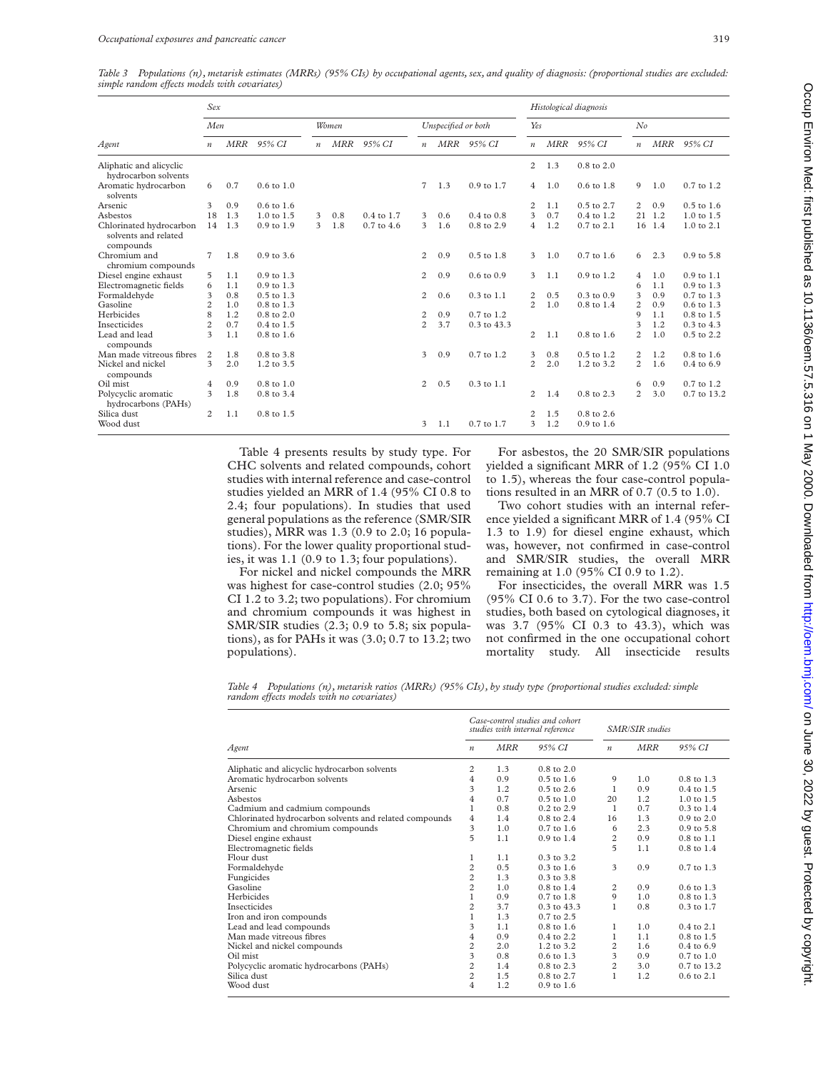*Table 3 Populations (n), metarisk estimates (MRRs) (95% CIs) by occupational agents, sex, and quality of diagnosis: (proportional studies are excluded:*  $simple$  random effects models with covariates)

|                                                              | Sex              |            |                       |                  |            |                       |                  |                     |                       |                         |            | Histological diagnosis |                  |            |                       |  |  |  |
|--------------------------------------------------------------|------------------|------------|-----------------------|------------------|------------|-----------------------|------------------|---------------------|-----------------------|-------------------------|------------|------------------------|------------------|------------|-----------------------|--|--|--|
|                                                              |                  | Men        |                       |                  | Women      |                       |                  | Unspecified or both |                       |                         | Yes        |                        | $N_{0}$          |            |                       |  |  |  |
| Agent                                                        | $\boldsymbol{n}$ | <b>MRR</b> | 95% CI                | $\boldsymbol{n}$ | <b>MRR</b> | 95% CI                | $\boldsymbol{n}$ |                     | MRR 95% CI            | $\boldsymbol{n}$        | <b>MRR</b> | 95% CI                 | $\boldsymbol{n}$ | <b>MRR</b> | 95% CI                |  |  |  |
| Aliphatic and alicyclic<br>hydrocarbon solvents              |                  |            |                       |                  |            |                       |                  |                     |                       | 2                       | 1.3        | $0.8$ to $2.0$         |                  |            |                       |  |  |  |
| Aromatic hydrocarbon<br>solvents                             | 6                | 0.7        | $0.6$ to $1.0$        |                  |            |                       | $\overline{7}$   | 1.3                 | $0.9 \text{ to } 1.7$ | $\overline{4}$          | 1.0        | $0.6$ to $1.8$         | 9                | 1.0        | $0.7$ to $1.2$        |  |  |  |
| Arsenic                                                      | 3                | 0.9        | $0.6$ to $1.6$        |                  |            |                       |                  |                     |                       | $\overline{c}$          | 1.1        | $0.5$ to $2.7$         | $\overline{c}$   | 0.9        | $0.5$ to $1.6$        |  |  |  |
| Asbestos                                                     | 18               | 1.3        | $1.0$ to $1.5$        | 3                | 0.8        | $0.4 \text{ to } 1.7$ | 3                | 0.6                 | $0.4 \text{ to } 0.8$ | 3                       | 0.7        | 0.4 to 1.2             | 21               | 1.2        | $1.0 \text{ to } 1.5$ |  |  |  |
| Chlorinated hydrocarbon<br>solvents and related<br>compounds | 14               | 1.3        | $0.9$ to $1.9$        | 3                | 1.8        | 0.7 to 4.6            | 3                | 1.6                 | $0.8 \text{ to } 2.9$ | 4                       | 1.2        | 0.7 to 2.1             |                  | 16 1.4     | $1.0 \text{ to } 2.1$ |  |  |  |
| Chromium and<br>chromium compounds                           | $\overline{7}$   | 1.8        | $0.9$ to $3.6$        |                  |            |                       | $\overline{c}$   | 0.9                 | $0.5$ to $1.8$        | $\overline{\mathbf{3}}$ | 1.0        | 0.7 to 1.6             | 6                | 2.3        | $0.9$ to $5.8$        |  |  |  |
| Diesel engine exhaust                                        | 5                | 1.1        | 0.9 to 1.3            |                  |            |                       | $\overline{2}$   | 0.9                 | $0.6$ to $0.9$        | 3                       | 1.1        | 0.9 to 1.2             | 4                | 1.0        | $0.9 \text{ to } 1.1$ |  |  |  |
| Electromagnetic fields                                       | 6                | 1.1        | 0.9 to 1.3            |                  |            |                       |                  |                     |                       |                         |            |                        | 6                | 1.1        | $0.9$ to $1.3$        |  |  |  |
| Formaldehyde                                                 | 3                | 0.8        | $0.5$ to $1.3$        |                  |            |                       | $\overline{c}$   | 0.6                 | 0.3 to 1.1            | 2                       | 0.5        | $0.3 \text{ to } 0.9$  | 3                | 0.9        | $0.7$ to $1.3$        |  |  |  |
| Gasoline                                                     | $\overline{2}$   | 1.0        | 0.8 to 1.3            |                  |            |                       |                  |                     |                       | $\overline{c}$          | 1.0        | 0.8 to 1.4             | $\overline{c}$   | 0.9        | 0.6 to 1.3            |  |  |  |
| Herbicides                                                   | 8                | 1.2        | 0.8 to 2.0            |                  |            |                       | 2                | 0.9                 | 0.7 to 1.2            |                         |            |                        | 9                | 1.1        | $0.8$ to $1.5$        |  |  |  |
| Insecticides                                                 | $\overline{c}$   | 0.7        | 0.4 to 1.5            |                  |            |                       | 2                | 3.7                 | 0.3 to 43.3           |                         |            |                        | 3                | 1.2        | 0.3 to 4.3            |  |  |  |
| Lead and lead<br>compounds                                   | 3                | 1.1        | $0.8$ to $1.6$        |                  |            |                       |                  |                     |                       | 2                       | 1.1        | 0.8 to 1.6             | $\overline{c}$   | 1.0        | $0.5$ to $2.2$        |  |  |  |
| Man made vitreous fibres                                     | $\mathbf{2}$     | 1.8        | $0.8 \text{ to } 3.8$ |                  |            |                       | 3                | 0.9                 | $0.7$ to $1.2$        | 3                       | 0.8        | $0.5$ to $1.2$         | $\overline{c}$   | 1.2        | $0.8 \text{ to } 1.6$ |  |  |  |
| Nickel and nickel<br>compounds                               | 3                | 2.0        | 1.2 to 3.5            |                  |            |                       |                  |                     |                       | 2                       | 2.0        | 1.2 to 3.2             | $\overline{c}$   | 1.6        | $0.4$ to $6.9$        |  |  |  |
| Oil mist                                                     | $\overline{4}$   | 0.9        | $0.8 \text{ to } 1.0$ |                  |            |                       | 2                | 0.5                 | $0.3$ to $1.1$        |                         |            |                        | 6                | 0.9        | $0.7$ to $1.2$        |  |  |  |
| Polycyclic aromatic<br>hydrocarbons (PAHs)                   | 3                | 1.8        | 0.8 to 3.4            |                  |            |                       |                  |                     |                       | $\overline{c}$          | 1.4        | $0.8 \text{ to } 2.3$  | $\overline{c}$   | 3.0        | 0.7 to 13.2           |  |  |  |
| Silica dust                                                  | 2                | 1.1        | $0.8$ to $1.5$        |                  |            |                       |                  |                     |                       | 2                       | 1.5        | 0.8 to 2.6             |                  |            |                       |  |  |  |
| Wood dust                                                    |                  |            |                       |                  |            |                       | 3                | 1.1                 | $0.7$ to $1.7$        | 3                       | 1.2        | $0.9$ to $1.6$         |                  |            |                       |  |  |  |

Table 4 presents results by study type. For CHC solvents and related compounds, cohort studies with internal reference and case-control studies yielded an MRR of 1.4 (95% CI 0.8 to 2.4; four populations). In studies that used general populations as the reference (SMR/SIR studies), MRR was 1.3 (0.9 to 2.0; 16 populations). For the lower quality proportional studies, it was 1.1 (0.9 to 1.3; four populations).

For nickel and nickel compounds the MRR was highest for case-control studies (2.0; 95% CI 1.2 to 3.2; two populations). For chromium and chromium compounds it was highest in SMR/SIR studies (2.3; 0.9 to 5.8; six populations), as for PAHs it was (3.0; 0.7 to 13.2; two populations).

For asbestos, the 20 SMR/SIR populations yielded a significant MRR of 1.2 (95% CI 1.0 to 1.5), whereas the four case-control populations resulted in an MRR of 0.7 (0.5 to 1.0).

Two cohort studies with an internal reference yielded a significant MRR of 1.4 (95% CI 1.3 to 1.9) for diesel engine exhaust, which was, however, not confirmed in case-control and SMR/SIR studies, the overall MRR remaining at 1.0 (95% CI 0.9 to 1.2).

For insecticides, the overall MRR was 1.5 (95% CI 0.6 to 3.7). For the two case-control studies, both based on cytological diagnoses, it was 3.7 (95% CI 0.3 to 43.3), which was not confirmed in the one occupational cohort mortality study. All insecticide results

*Table 4 Populations (n), metarisk ratios (MRRs) (95% CIs), by study type (proportional studies excluded: simple*  $r$ *andom effects models with no covariates*)

|                                                        |                  |            | Case-control studies and cohort<br>studies with internal reference | <b>SMR/SIR</b> studies |            |                       |
|--------------------------------------------------------|------------------|------------|--------------------------------------------------------------------|------------------------|------------|-----------------------|
| Agent                                                  | $\boldsymbol{n}$ | <b>MRR</b> | 95% CI                                                             | $\boldsymbol{n}$       | <b>MRR</b> | 95% CI                |
| Aliphatic and alicyclic hydrocarbon solvents           | 2                | 1.3        | $0.8 \text{ to } 2.0$                                              |                        |            |                       |
| Aromatic hydrocarbon solvents                          | 4                | 0.9        | $0.5 \text{ to } 1.6$                                              | 9                      | 1.0        | $0.8 \text{ to } 1.3$ |
| Arsenic                                                | 3                | 1.2        | $0.5 \text{ to } 2.6$                                              | $\mathbf{1}$           | 0.9        | $0.4 \text{ to } 1.5$ |
| Asbestos                                               | $\overline{4}$   | 0.7        | $0.5 \text{ to } 1.0$                                              | 20                     | 1.2        | $1.0 \text{ to } 1.5$ |
| Cadmium and cadmium compounds                          | 1                | 0.8        | $0.2$ to $2.9$                                                     | 1                      | 0.7        | 0.3 to 1.4            |
| Chlorinated hydrocarbon solvents and related compounds | 4                | 1.4        | 0.8 to 2.4                                                         | 16                     | 1.3        | 0.9 to 2.0            |
| Chromium and chromium compounds                        | 3                | 1.0        | $0.7$ to $1.6$                                                     | 6                      | 2.3        | $0.9$ to $5.8$        |
| Diesel engine exhaust                                  | 5                | 1.1        | $0.9$ to $1.4$                                                     | $\overline{2}$         | 0.9        | $0.8 \text{ to } 1.1$ |
| Electromagnetic fields                                 |                  |            |                                                                    | 5                      | 1.1        | $0.8$ to $1.4$        |
| Flour dust                                             | 1                | 1.1        | $0.3 \text{ to } 3.2$                                              |                        |            |                       |
| Formaldehyde                                           | $\overline{2}$   | 0.5        | $0.3 \text{ to } 1.6$                                              | 3                      | 0.9        | 0.7 to 1.3            |
| Fungicides                                             | $\overline{c}$   | 1.3        | $0.3 \text{ to } 3.8$                                              |                        |            |                       |
| Gasoline                                               | $\overline{2}$   | 1.0        | $0.8 \text{ to } 1.4$                                              | 2                      | 0.9        | 0.6 to 1.3            |
| Herbicides                                             | 1                | 0.9        | $0.7$ to $1.8$                                                     | 9                      | 1.0        | $0.8 \text{ to } 1.3$ |
| Insecticides                                           | $\overline{2}$   | 3.7        | $0.3$ to $43.3$                                                    | 1                      | 0.8        | 0.3 to 1.7            |
| Iron and iron compounds                                | 1                | 1.3        | $0.7$ to $2.5$                                                     |                        |            |                       |
| Lead and lead compounds                                | 3                | 1.1        | $0.8 \text{ to } 1.6$                                              | 1                      | 1.0        | $0.4 \text{ to } 2.1$ |
| Man made vitreous fibres                               | $\overline{4}$   | 0.9        | $0.4 \text{ to } 2.2$                                              | 1                      | 1.1        | $0.8 \text{ to } 1.5$ |
| Nickel and nickel compounds                            | $\overline{c}$   | 2.0        | $1.2 \text{ to } 3.2$                                              | $\overline{2}$         | 1.6        | $0.4$ to $6.9$        |
| Oil mist                                               | 3                | 0.8        | $0.6 \text{ to } 1.3$                                              | 3                      | 0.9        | $0.7$ to $1.0$        |
| Polycyclic aromatic hydrocarbons (PAHs)                | $\overline{c}$   | 1.4        | 0.8 to 2.3                                                         | $\overline{c}$         | 3.0        | 0.7 to 13.2           |
| Silica dust                                            | $\overline{c}$   | 1.5        | $0.8 \text{ to } 2.7$                                              | $\mathbf{1}$           | 1.2        | $0.6$ to $2.1$        |
| Wood dust                                              | $\overline{4}$   | 1.2        | $0.9$ to $1.6$                                                     |                        |            |                       |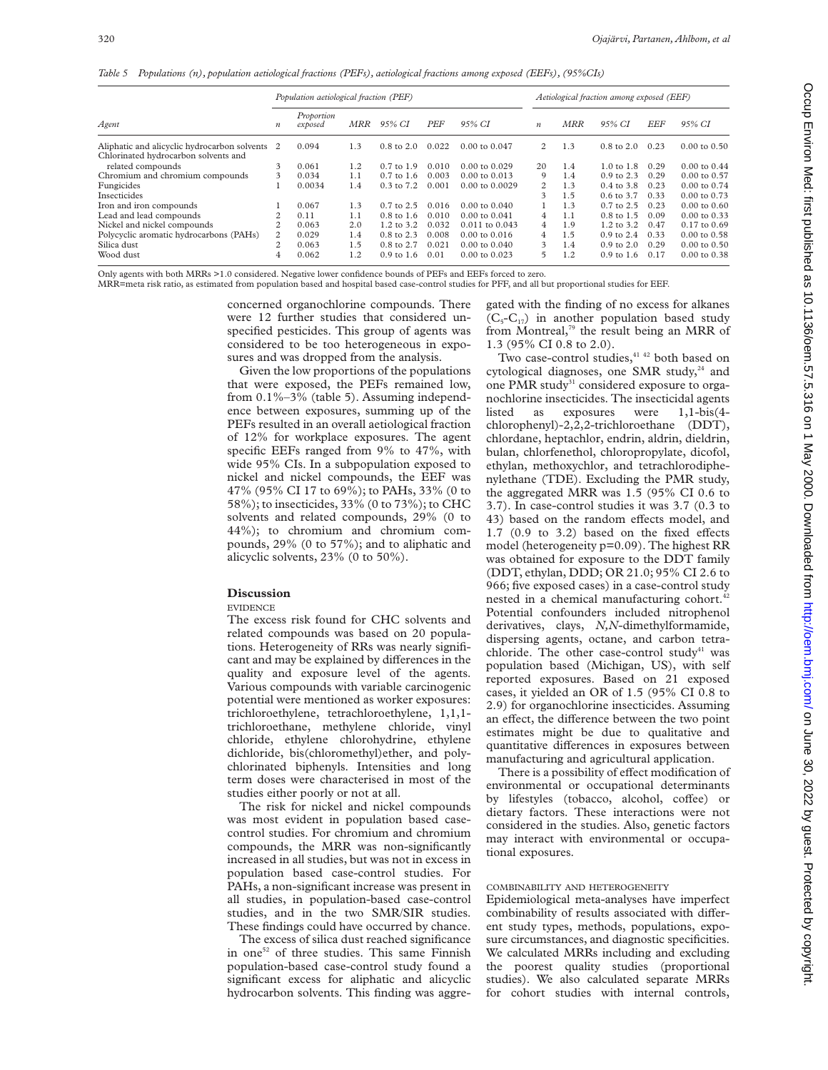*Table 5 Populations (n), population aetiological fractions (PEFs), aetiological fractions among exposed (EEFs), (95%CIs)*

|                                                                                      |                | Population aetiological fraction (PEF) |     |                       |            | Aetiological fraction among exposed (EEF) |                  |            |                       |            |                         |
|--------------------------------------------------------------------------------------|----------------|----------------------------------------|-----|-----------------------|------------|-------------------------------------------|------------------|------------|-----------------------|------------|-------------------------|
| Agent                                                                                |                | Proportion<br>exposed                  | MRR | 95% CI                | <b>PEF</b> | 95% CI                                    | $\boldsymbol{n}$ | <b>MRR</b> | 95% CI                | <b>EEF</b> | 95% CI                  |
| Aliphatic and alicyclic hydrocarbon solvents<br>Chlorinated hydrocarbon solvents and | 2              | 0.094                                  | 1.3 | $0.8 \text{ to } 2.0$ | 0.022      | $0.00$ to $0.047$                         | 2                | 1.3        | $0.8$ to $2.0$        | 0.23       | $0.00$ to $0.50$        |
| related compounds                                                                    | 3              | 0.061                                  | 1.2 | $0.7$ to $1.9$        | 0.010      | $0.00$ to $0.029$                         | 20               | 1.4        | $1.0 \text{ to } 1.8$ | 0.29       | $0.00 \text{ to } 0.44$ |
| Chromium and chromium compounds                                                      | 3              | 0.034                                  | 1.1 | $0.7 \text{ to } 1.6$ | 0.003      | $0.00 \text{ to } 0.013$                  | 9                | 1.4        | $0.9$ to $2.3$        | 0.29       | $0.00$ to $0.57$        |
| Fungicides                                                                           |                | 0.0034                                 | 1.4 | $0.3 \text{ to } 7.2$ | 0.001      | $0.00 \text{ to } 0.0029$                 | 2                | 1.3        | $0.4 \text{ to } 3.8$ | 0.23       | $0.00$ to $0.74$        |
| Insecticides                                                                         |                |                                        |     |                       |            |                                           | 3                | 1.5        | 0.6 to 3.7            | 0.33       | 0.00 to 0.73            |
| Iron and iron compounds                                                              |                | 0.067                                  | 1.3 | $0.7$ to $2.5$        | 0.016      | $0.00 \text{ to } 0.040$                  |                  | 1.3        | $0.7$ to $2.5$        | 0.23       | $0.00 \text{ to } 0.60$ |
| Lead and lead compounds                                                              | 2              | 0.11                                   | 1.1 | $0.8 \text{ to } 1.6$ | 0.010      | $0.00 \text{ to } 0.041$                  | $\overline{4}$   | 1.1        | $0.8 \text{ to } 1.5$ | 0.09       | $0.00 \text{ to } 0.33$ |
| Nickel and nickel compounds                                                          | 2              | 0.063                                  | 2.0 | $1.2 \text{ to } 3.2$ | 0.032      | $0.011$ to $0.043$                        | $\overline{4}$   | 1.9        | 1.2 to 3.2            | 0.47       | $0.17$ to $0.69$        |
| Polycyclic aromatic hydrocarbons (PAHs)                                              | 2              | 0.029                                  | 1.4 | $0.8 \text{ to } 2.3$ | 0.008      | $0.00 \text{ to } 0.016$                  | 4                | 1.5        | $0.9$ to $2.4$        | 0.33       | $0.00 \text{ to } 0.58$ |
| Silica dust                                                                          | $\overline{c}$ | 0.063                                  | 1.5 | 0.8 to 2.7            | 0.021      | $0.00$ to $0.040$                         | 3                | 1.4        | $0.9$ to $2.0$        | 0.29       | $0.00 \text{ to } 0.50$ |
| Wood dust                                                                            | 4              | 0.062                                  | 1.2 | $0.9 \text{ to } 1.6$ | 0.01       | $0.00$ to $0.023$                         | $5^{\circ}$      | 1.2        | $0.9$ to $1.6$        | 0.17       | $0.00 \text{ to } 0.38$ |

Only agents with both MRRs >1.0 considered. Negative lower confidence bounds of PEFs and EEFs forced to zero.

MRR=meta risk ratio, as estimated from population based and hospital based case-control studies for PFF, and all but proportional studies for EEF.

concerned organochlorine compounds. There were 12 further studies that considered unspecified pesticides. This group of agents was considered to be too heterogeneous in exposures and was dropped from the analysis.

Given the low proportions of the populations that were exposed, the PEFs remained low, from 0.1%–3% (table 5). Assuming independence between exposures, summing up of the PEFs resulted in an overall aetiological fraction of 12% for workplace exposures. The agent specific EEFs ranged from 9% to 47%, with wide 95% CIs. In a subpopulation exposed to nickel and nickel compounds, the EEF was 47% (95% CI 17 to 69%); to PAHs, 33% (0 to 58%); to insecticides, 33% (0 to 73%); to CHC solvents and related compounds, 29% (0 to 44%); to chromium and chromium compounds, 29% (0 to 57%); and to aliphatic and alicyclic solvents, 23% (0 to 50%).

#### **Discussion**

#### EVIDENCE

The excess risk found for CHC solvents and related compounds was based on 20 populations. Heterogeneity of RRs was nearly significant and may be explained by differences in the quality and exposure level of the agents. Various compounds with variable carcinogenic potential were mentioned as worker exposures: trichloroethylene, tetrachloroethylene, 1,1,1 trichloroethane, methylene chloride, vinyl chloride, ethylene chlorohydrine, ethylene dichloride, bis(chloromethyl)ether, and polychlorinated biphenyls. Intensities and long term doses were characterised in most of the studies either poorly or not at all.

The risk for nickel and nickel compounds was most evident in population based casecontrol studies. For chromium and chromium compounds, the MRR was non-significantly increased in all studies, but was not in excess in population based case-control studies. For PAHs, a non-significant increase was present in all studies, in population-based case-control studies, and in the two SMR/SIR studies. These findings could have occurred by chance.

The excess of silica dust reached significance in one<sup>52</sup> of three studies. This same Finnish population-based case-control study found a significant excess for aliphatic and alicyclic hydrocarbon solvents. This finding was aggregated with the finding of no excess for alkanes  $(C_5-C_{17})$  in another population based study from Montreal,<sup>79</sup> the result being an MRR of 1.3 (95% CI 0.8 to 2.0).

Two case-control studies,  $41$   $42$  both based on cytological diagnoses, one SMR study,<sup>24</sup> and one PMR study<sup>31</sup> considered exposure to organochlorine insecticides. The insecticidal agents listed as exposures were 1,1-bis(4 chlorophenyl)-2,2,2-trichloroethane (DDT), chlordane, heptachlor, endrin, aldrin, dieldrin, bulan, chlorfenethol, chloropropylate, dicofol, ethylan, methoxychlor, and tetrachlorodiphenylethane (TDE). Excluding the PMR study, the aggregated MRR was 1.5 (95% CI 0.6 to 3.7). In case-control studies it was 3.7 (0.3 to 43) based on the random effects model, and  $1.7$   $(0.9$  to  $3.2)$  based on the fixed effects model (heterogeneity p=0.09). The highest RR was obtained for exposure to the DDT family (DDT, ethylan, DDD; OR 21.0; 95% CI 2.6 to 966; five exposed cases) in a case-control study nested in a chemical manufacturing cohort.<sup>4</sup> Potential confounders included nitrophenol derivatives, clays, *N,N*-dimethylformamide, dispersing agents, octane, and carbon tetrachloride. The other case-control study $41$  was population based (Michigan, US), with self reported exposures. Based on 21 exposed cases, it yielded an OR of 1.5 (95% CI 0.8 to 2.9) for organochlorine insecticides. Assuming an effect, the difference between the two point estimates might be due to qualitative and quantitative differences in exposures between manufacturing and agricultural application.

There is a possibility of effect modification of environmental or occupational determinants by lifestyles (tobacco, alcohol, coffee) or dietary factors. These interactions were not considered in the studies. Also, genetic factors may interact with environmental or occupational exposures.

#### COMBINABILITY AND HETEROGENEITY

Epidemiological meta-analyses have imperfect combinability of results associated with different study types, methods, populations, exposure circumstances, and diagnostic specificities. We calculated MRRs including and excluding the poorest quality studies (proportional studies). We also calculated separate MRRs for cohort studies with internal controls,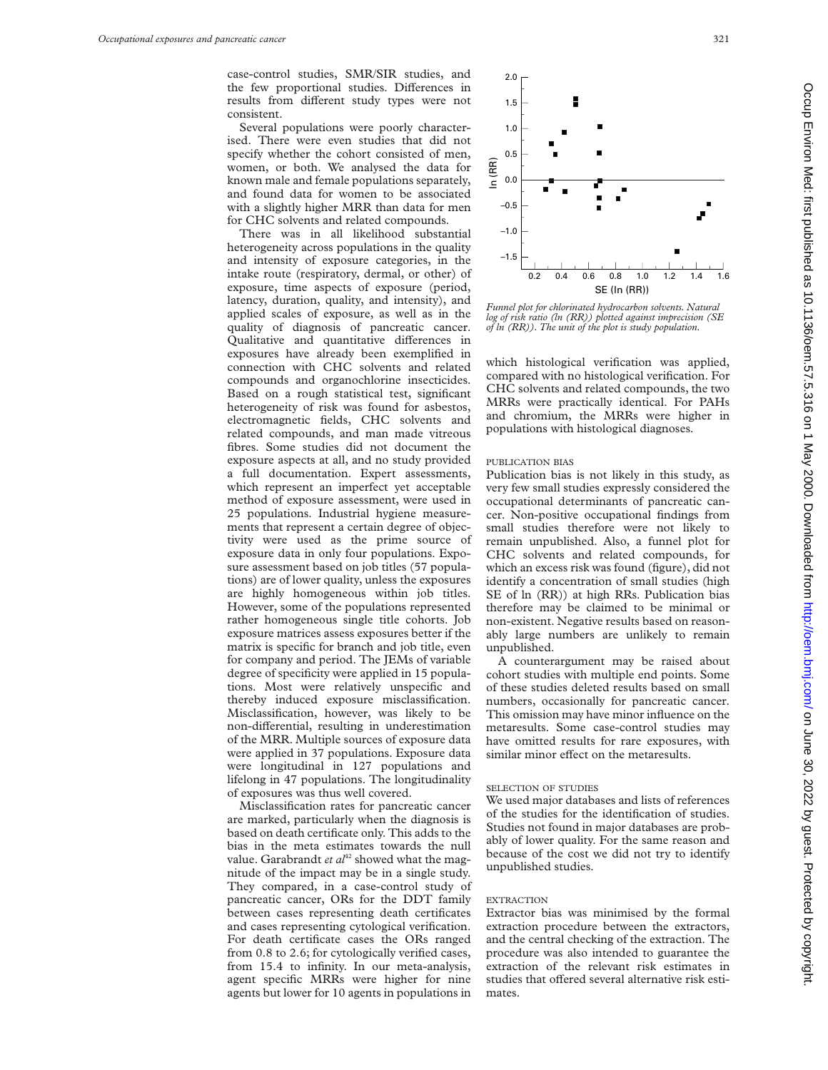case-control studies, SMR/SIR studies, and the few proportional studies. Differences in results from different study types were not consistent.

Several populations were poorly characterised. There were even studies that did not specify whether the cohort consisted of men, women, or both. We analysed the data for known male and female populations separately, and found data for women to be associated with a slightly higher MRR than data for men for CHC solvents and related compounds.

There was in all likelihood substantial heterogeneity across populations in the quality and intensity of exposure categories, in the intake route (respiratory, dermal, or other) of exposure, time aspects of exposure (period, latency, duration, quality, and intensity), and applied scales of exposure, as well as in the quality of diagnosis of pancreatic cancer. Qualitative and quantitative differences in exposures have already been exemplified in connection with CHC solvents and related compounds and organochlorine insecticides. Based on a rough statistical test, significant heterogeneity of risk was found for asbestos, electromagnetic fields, CHC solvents and related compounds, and man made vitreous fibres. Some studies did not document the exposure aspects at all, and no study provided a full documentation. Expert assessments, which represent an imperfect yet acceptable method of exposure assessment, were used in 25 populations. Industrial hygiene measurements that represent a certain degree of objectivity were used as the prime source of exposure data in only four populations. Exposure assessment based on job titles (57 populations) are of lower quality, unless the exposures are highly homogeneous within job titles. However, some of the populations represented rather homogeneous single title cohorts. Job exposure matrices assess exposures better if the matrix is specific for branch and job title, even for company and period. The JEMs of variable degree of specificity were applied in 15 populations. Most were relatively unspecific and thereby induced exposure misclassification. Misclassification, however, was likely to be non-differential, resulting in underestimation of the MRR. Multiple sources of exposure data were applied in 37 populations. Exposure data were longitudinal in 127 populations and lifelong in 47 populations. The longitudinality of exposures was thus well covered.

Misclassification rates for pancreatic cancer are marked, particularly when the diagnosis is based on death certificate only. This adds to the bias in the meta estimates towards the null value. Garabrandt *et al*<sup>42</sup> showed what the magnitude of the impact may be in a single study. They compared, in a case-control study of pancreatic cancer, ORs for the DDT family between cases representing death certificates and cases representing cytological verification. For death certificate cases the ORs ranged from 0.8 to 2.6; for cytologically verified cases, from 15.4 to infinity. In our meta-analysis, agent specific MRRs were higher for nine agents but lower for 10 agents in populations in



*Funnel plot for chlorinated hydrocarbon solvents. Natural log of risk ratio (ln (RR)) plotted against imprecision (SE of ln (RR)). The unit of the plot is study population.*

which histological verification was applied, compared with no histological verification. For CHC solvents and related compounds, the two MRRs were practically identical. For PAHs and chromium, the MRRs were higher in populations with histological diagnoses.

#### PUBLICATION BIAS

Publication bias is not likely in this study, as very few small studies expressly considered the occupational determinants of pancreatic cancer. Non-positive occupational findings from small studies therefore were not likely to remain unpublished. Also, a funnel plot for CHC solvents and related compounds, for which an excess risk was found (figure), did not identify a concentration of small studies (high SE of ln (RR)) at high RRs. Publication bias therefore may be claimed to be minimal or non-existent. Negative results based on reasonably large numbers are unlikely to remain unpublished.

A counterargument may be raised about cohort studies with multiple end points. Some of these studies deleted results based on small numbers, occasionally for pancreatic cancer. This omission may have minor influence on the metaresults. Some case-control studies may have omitted results for rare exposures, with similar minor effect on the metaresults.

### SELECTION OF STUDIES

We used major databases and lists of references of the studies for the identification of studies. Studies not found in major databases are probably of lower quality. For the same reason and because of the cost we did not try to identify unpublished studies.

#### **EXTRACTION**

Extractor bias was minimised by the formal extraction procedure between the extractors, and the central checking of the extraction. The procedure was also intended to guarantee the extraction of the relevant risk estimates in studies that offered several alternative risk estimates.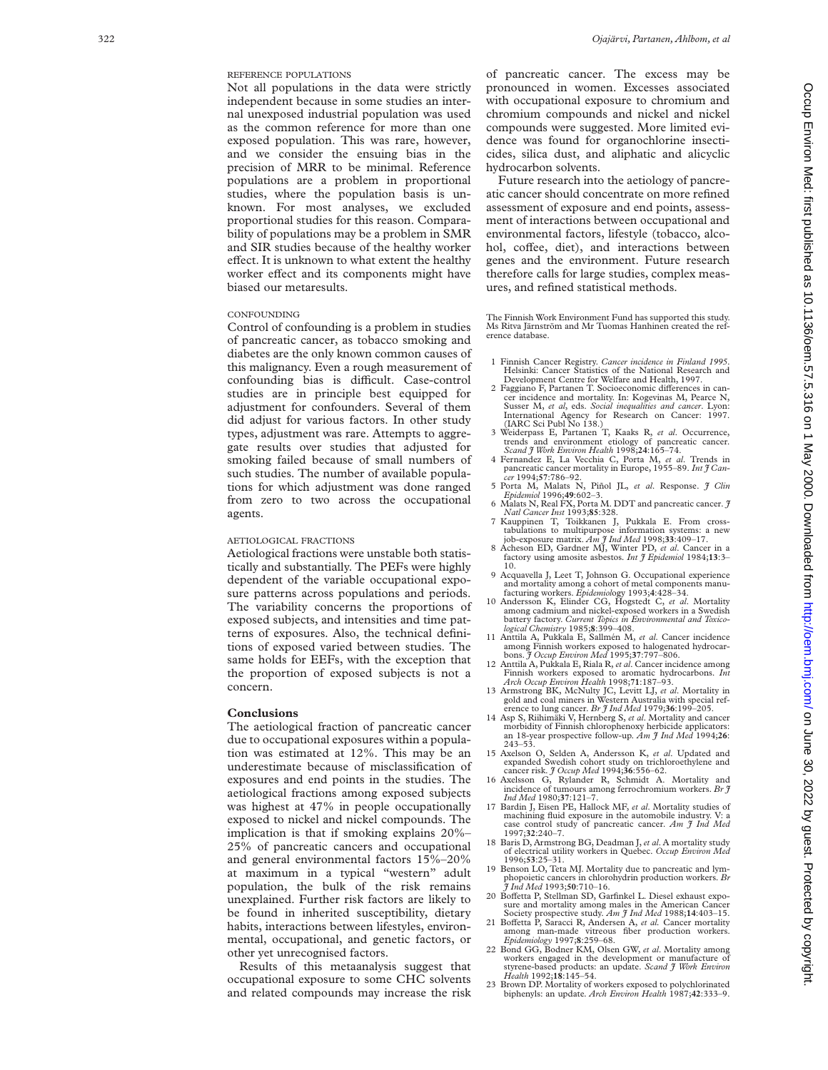# REFERENCE POPULATIONS

Not all populations in the data were strictly independent because in some studies an internal unexposed industrial population was used as the common reference for more than one exposed population. This was rare, however, and we consider the ensuing bias in the precision of MRR to be minimal. Reference populations are a problem in proportional studies, where the population basis is unknown. For most analyses, we excluded proportional studies for this reason. Comparability of populations may be a problem in SMR and SIR studies because of the healthy worker effect. It is unknown to what extent the healthy worker effect and its components might have biased our metaresults.

#### CONFOUNDING

Control of confounding is a problem in studies of pancreatic cancer, as tobacco smoking and diabetes are the only known common causes of this malignancy. Even a rough measurement of confounding bias is difficult. Case-control studies are in principle best equipped for adjustment for confounders. Several of them did adjust for various factors. In other study types, adjustment was rare. Attempts to aggregate results over studies that adjusted for smoking failed because of small numbers of such studies. The number of available populations for which adjustment was done ranged from zero to two across the occupational agents.

#### AETIOLOGICAL FRACTIONS

Aetiological fractions were unstable both statistically and substantially. The PEFs were highly dependent of the variable occupational exposure patterns across populations and periods. The variability concerns the proportions of exposed subjects, and intensities and time patterns of exposures. Also, the technical definitions of exposed varied between studies. The same holds for EEFs, with the exception that the proportion of exposed subjects is not a concern.

#### **Conclusions**

The aetiological fraction of pancreatic cancer due to occupational exposures within a population was estimated at 12%. This may be an underestimate because of misclassification of exposures and end points in the studies. The aetiological fractions among exposed subjects was highest at 47% in people occupationally exposed to nickel and nickel compounds. The implication is that if smoking explains 20%– 25% of pancreatic cancers and occupational and general environmental factors 15%–20% at maximum in a typical "western" adult population, the bulk of the risk remains unexplained. Further risk factors are likely to be found in inherited susceptibility, dietary habits, interactions between lifestyles, environmental, occupational, and genetic factors, or other yet unrecognised factors.

Results of this metaanalysis suggest that occupational exposure to some CHC solvents and related compounds may increase the risk of pancreatic cancer. The excess may be pronounced in women. Excesses associated with occupational exposure to chromium and chromium compounds and nickel and nickel compounds were suggested. More limited evidence was found for organochlorine insecticides, silica dust, and aliphatic and alicyclic hydrocarbon solvents.

Future research into the aetiology of pancreatic cancer should concentrate on more refined assessment of exposure and end points, assessment of interactions between occupational and environmental factors, lifestyle (tobacco, alcohol, coffee, diet), and interactions between genes and the environment. Future research therefore calls for large studies, complex measures, and refined statistical methods.

The Finnish Work Environment Fund has supported this study. Ms Ritva Järnström and Mr Tuomas Hanhinen created the reference database.

- 1 Finnish Cancer Registry. *Cancer incidence in Finland 1995* . Helsinki: Cancer Statistics of the National Research and
- Development Centre for Welfare and Health, 1997.<br>2 Faggiano F, Partanen T. Socioeconomic differences in cancer incidence and mortality. In: Kogevinas M, Pearce N, Susser M, *et al*, eds. *Social inequalities and cancer*. Lyon: International Agency for Research on Cancer: 1997. (IARC Sci Publ No 138.) 3 Weiderpass E, Partanen T, Kaaks R, *et al*. Occurrence,
- trends and environment etiology of pancreatic cancer. *Scand J Work Environ Health* 1998;**24**:165–74.
- 4 Fernandez E, La Vecchia C, Porta M, *et al*. Trends in pancreatic cancer mortality in Europe, 1955–89. *Int J Cancer* 1994;57:786–92.
- *cer* 1994;**57**:786–92. 5 Porta M, Malats N, Piñol JL, *et al*. Response. *J Clin Epidemiol* 1996;**49**:602–3. 6 Malats N, Real FX, Porta M. DDT and pancreatic cancer. *J*
- *Natl Cancer Inst* 1993;**85**:328.
- 7 Kauppinen T, Toikkanen J, Pukkala E. From cross-tabulations to multipurpose information systems: a new
- 8 Acheson ED, Gardner MJ, Winter PD, et al. Cancer in a factory using amosite asbestos*. Int J Epidemiol* 1984;**13**:3– 10.
- 9 Acquavella J, Leet T, Johnson G. Occupational experience and mortality among a cohort of metal components manufacturing workers. *Epidemiol*ogy 1993;**4**:428–34.
- 10 Andersson K, Elinder CG, Hogstedt C, *et al*. Mortality among cadmium and nickel-exposed workers in a Swedish battery factory. *Current Topics in Environmental and Toxico-logical Chemistry* 1985;**8**:399–408.
- 11 Anttila A, Pukkala E, Sallmén M, *et al*. Cancer incidence among Finnish workers exposed to halogenated hydrocar-bons. *J Occup Environ Med* 1995;**37**:797–806.
- 12 Anttila A, Pukkala E, Riala R, *et al*. Cancer incidence among Finnish workers exposed to aromatic hydrocarbons. *Int Arch Occup Environ Health* 1998;**71**:187–93.
- 13 Armstrong BK, McNulty JC, Levitt LJ, *et al*. Mortality in gold and coal miners in Western Australia with special ref-
- erence to lung cancer. *Br J Ind Med* 1979;**36**:199–205. 14 Asp S, Riihimäki V, Hernberg S, *et al*. Mortality and cancer morbidity of Finnish chlorophenoxy herbicide applicators: an 18-year prospective follow-up. *Am J Ind Med* 1994;**26** : 243–53.
- 15 Axelson O, Selden A, Andersson K, *et al*. Updated and expanded Swedish cohort study on trichloroethylene and cancer risk. *J Occup Med* 1994;**36**:556–62.
- 16 Axelsson G, Rylander R, Schmidt A. Mortality and incidence of tumours among ferrochromium workers. *Br J Ind Med* 1980;**37**:121–7.
- 17 Bardin J, Eisen PE, Hallock MF, *et al*. Mortality studies of machining fluid exposure in the automobile industry. V: a case control study of pancreatic cancer. *Am J Ind Med* 1997;**32**:240–7.
- 18 Baris D, Armstrong BG, Deadman J,*et al*. A mortality study of electrical utility workers in Quebec. *Occup Environ Med* 1996;**53**:25–31.
- 19 Benson LO, Teta MJ. Mortality due to pancreatic and lym-phopoietic cancers in chlorohydrin production workers. *Br J Ind Med* 1993;**50**:710–16.
- 20 Boffetta P, Stellman SD, Garfinkel L. Diesel exhaust expo-
- sure and mortality among males in the American Cancer<br>Society prospective study. *Am J Ind Med* 1988;14:403-15.<br>21 Boffetta P, Saracci R, Andersen A, *et al.* Cancer mortality among man-made vitreous fiber production workers.
- *Epidemiology* 1997; **8**:259–68. 22 Bond GG, Bodner KM, Olsen GW, *et al*. Mortality among workers engaged in the development or manufacture of styrene-based products: an update. *Scand J Work Environ Health* 1992;**18**:145–54.
- 23 Brown DP. Mortality of workers exposed to polychlorinated biphenyls: an update*. Arch Environ Health* 1987;**42**:333–9.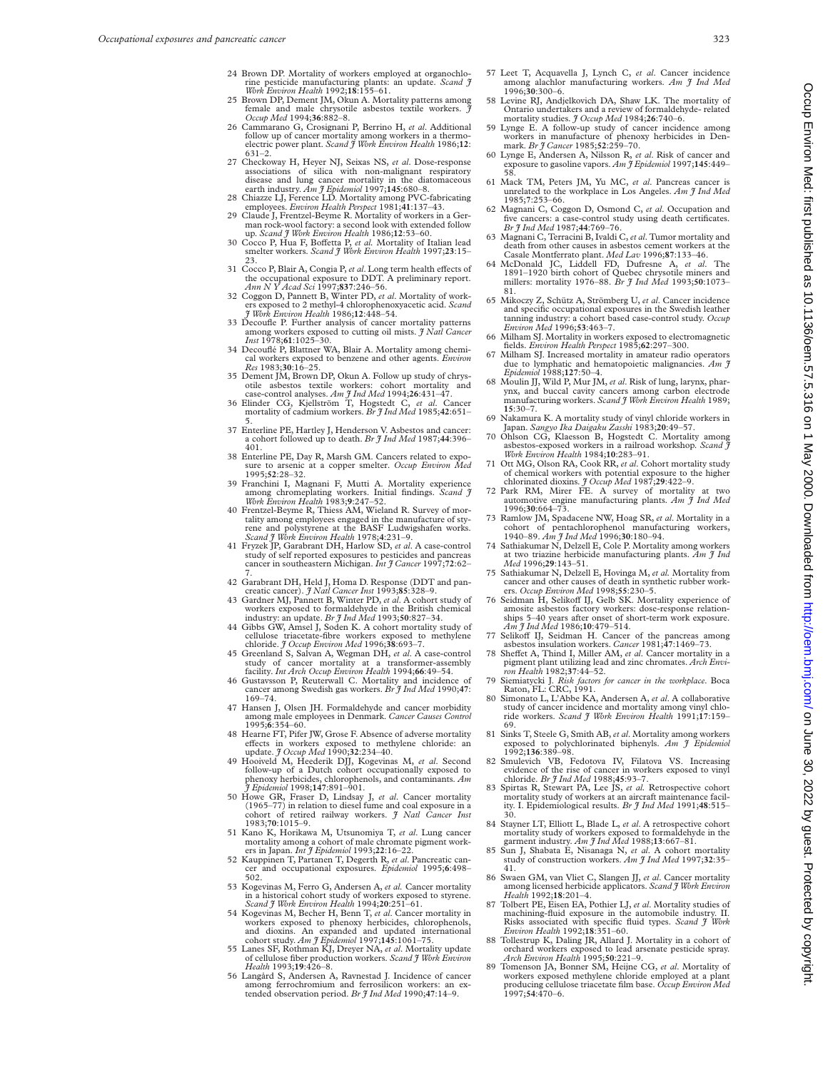- 24 Brown DP. Mortality of workers employed at organochlorine pesticide manufacturing plants: an update. *Scand J Work Environ Health* 1992;**18**:155–61.
- 25 Brown DP, Dement JM, Okun A. Mortality patterns among female and male chrysotile asbestos textile workers. *J Occup Med* 1994;**36**:882–8.
- 26 Cammarano G, Crosignani P, Berrino H, *et al*. Additional follow up of cancer mortality among workers in a thermoelectric power plant. *Scand J Work Environ Health* 1986;**12**: 631–2.
- 27 Checkoway H, Heyer NJ, Seixas NS, *et al*. Dose-response associations of silica with non-malignant respiratory disease and lung cancer mortality in the diatomaceous<br>carth industry.  $Am$  Epidemiol 1997;145:680-8.<br>28 Chiazze LJ, Ference LD. Mortality among PVC-fabricating<br>employees. Environ Health Perspect 1981;41:137-43.
- 29 Claude J, Frentzel-Beyme R. Mortality of workers in a Ger-man rock-wool factory: a second look with extended follow
	-
- up. *Scand J Work Environ Health* 1986;12:53–60.<br>30 Cocco P, Hua F, Boffetta P, *et al.* Mortality of Italian lead<br>smelter workers. *Scand J Work Environ Health* 1997;23:15–<br>23.
- 31 Cocco P, Blair A, Congia P, *et al*. Long term health effects of the occupational exposure to DDT. A preliminary report.<br>*Ann N Y Acad Sci* 1997;**837**:246–56.
- 32 Coggon D, Pannett B, Winter PD, *et al*. Mortality of workers exposed to 2 methyl-4 chlorophenoxyacetic acid. *Scand J Work Environ Health* 1986;**12**:448–54.
- 33 Decoufle P. Further analysis of cancer mortality patterns among workers exposed to cutting oil mists. *J Natl Cancer Inst* 1978;**61**:1025–30.
- 34 Decouflé P, Blattner WA, Blair A. Mortality among chemical workers exposed to benzene and other agents. *Environ Res* 1983;**30**:16–25.
- 35 Dement JM, Brown DP, Okun A. Follow up study of chrysotelle asbestos textile workers: cohort mortality and case-control analyses. Am J Ind Med 1994;26:431-47.<br>36 Elinder CG, Kjellström T, Hogstedt C, et al. Cancer
- mortality of cadmium workers. *Br J Ind Med* 1985;**42**:651– 5.
- 37 Enterline PE, Hartley J, Henderson V. Asbestos and cancer: a cohort followed up to death. *Br J Ind Med* 1987;**44**:396– 401.
- 38 Enterline PE, Day R, Marsh GM. Cancers related to expo-sure to arsenic at a copper smelter. *Occup Environ Med* 1995;**52**:28–32.
- 39 Franchini I, Magnani F, Mutti A. Mortality experience among chromeplating workers. Initial findings. *Scand J Work Environ Health* 1983;**9**:247–52.
- 40 Frentzel-Beyme R, Thiess AM, Wieland R. Survey of mortality among employees engaged in the manufacture of sty-<br>rene and polystyrene at the BASF Ludwigshafen works.<br>Scand J Work Environ Health 1978;4:231-9.<br>41 Fryzek JP, Garabrant DH, Harlow SD, et al. A case-control
- study of self reported exposures to pesticides and pancreas cancer in southeastern Michigan. *Int J Cancer* 1997;**72**:62– 7.
- 42 Garabrant DH, Held J, Homa D. Response (DDT and pan-
- creatic cancer). *J Natl Cancer Inst* 1993;85:328–9.<br>43 Gardner MJ, Pannett B, Winter PD, *et al.* A cohort study of
- 
- 43 Gardner MJ, Pannett B, Winter PD, *et al.* A cohort study of workers exposed to formal<br>elebyde in the British chemical industry: an update. *B f J nd Med* 1993;50:827-34.<br>44 Gibbs GW, Amsel J, Soden K. A cohort m
- 
- 47 Hansen J, Olsen JH. Formaldehyde and cancer morbidity among male employees in Denmark. *Cancer Causes Control* 1995;**6**:354–60.
- 48 Hearne FT, Pifer JW, Grose F. Absence of adverse mortality effects in workers exposed to methylene chloride: an update. *J Occup Med* 1990;32:234–40.
- 49 Hooiveld M, Heederik DJJ, Kogevinas M, *et al*. Second follow-up of a Dutch cohort occupationally exposed to phenoxy herbicides, chlorophenols, and contaminants. *Am J Epidemiol* 1998;**147**:891–901.
- 50 Howe GR, Fraser D, Lindsay J, *et al*. Cancer mortality (1965–77) in relation to diesel fume and coal exposure in a cohort of retired railway workers. *J Natl Cancer Inst* 1983;**70**:1015–9.
- 51 Kano K, Horikawa M, Utsunomiya T, et al. Lung cancer<br>mortality among a cohort of male chromate pigment work-<br>ers in Japan. *Int* J Epidemiol 1993;22:16-22.<br>52 Kauppinen T, Partanen T, Degerth R, et al. Pancreatic can-
- cer and occupational exposures. Epidemiol 1995;6:498- $502.$
- 53 Kogevinas M, Ferro G, Andersen A, *et al.* Cancer mortality in a historical cohort study of workers exposed to styrene. *Scand J Work Environ Health* 1994;**20**:251–61.
- 54 Kogevinas M, Becher H, Benn T, *et al*. Cancer mortality in workers exposed to phenoxy herbicides, chlorophenols, and dioxins. An expanded and updated international cohort study. *Am J Epidemiol* 1997;**145**:1061–75.
- 55 Lanes SF, Rothman KJ, Dreyer NA, *et al*. Mortality update of cellulose fiber production workers. *Scand J Work Environ Health* 1993;**19**:426–8.
- 56 Langård S, Andersen A, Ravnestad J. Incidence of cancer among ferrochromium and ferrosilicon workers: an extended observation period. *Br J Ind Med* 1990;**47**:14–9.
- 57 Leet T, Acquavella J, Lynch C, *et al*. Cancer incidence among alachlor manufacturing workers. *Am J Ind Med* 1996;**30**:300–6.
- 58 Levine RJ, Andjelkovich DA, Shaw LK. The mortality of Ontario undertakers and a review of formaldehyde- related mortality studies. *J Occup Med* 1984;**26**:740–6.
- 59 Lynge E. A follow-up study of cancer incidence among workers in manufacture of phenoxy herbicides in Den-mark. *Br J Cancer* 1985;**52**:259–70.
- 60 Lynge E, Andersen A, Nilsson R, *et al*. Risk of cancer and exposure to gasoline vapors. *Am J Epidemiol* 1997;**145**:449– 58.
- 61 Mack TM, Peters JM, Yu MC, *et al*. Pancreas cancer is unrelated to the workplace in Los Angeles. *Am J Ind Med* 1985;**7**:253–66.
- 62 Magnani C, Coggon D, Osmond C, *et al*. Occupation and five cancers: a case-control study using death certificates. *Br J Ind Med* 1987;**44**:769–76.
- 63 Magnani C, Terracini B, Ivaldi C,*et al*. Tumor mortality and death from other causes in asbestos cement workers at the Casale Montferrato plant. *Med Lav* 1996;**87**:133–46.
- 64 McDonald JC, Liddell FD, Dufresne A, *et al*. The 1891–1920 birth cohort of Quebec chrysotile miners and millers: mortality 1976–88. *Br J Ind Med* 1993;**50**:1073– 81.
- 65 Mikoczy Z, Schütz A, Strömberg U, *et al*. Cancer incidence and specific occupational exposures in the Swedish leather tanning industry: a cohort based case-control study. *Occup Environ Med* 1996;**53**:463–7.
- 66 Milham SJ. Mortality in workers exposed to electromagnetic fields. *Environ Health Perspect* 1985;**62**:297–300.
- 67 Milham SJ. Increased mortality in amateur radio operators due to lymphatic and hematopoietic malignancies. *Am J Epidemiol* 1988;**127**:50–4.
- 68 Moulin JJ, Wild P, Mur JM, *et al*. Risk of lung, larynx, pharynx, and buccal cavity cancers among carbon electrode manufacturing workers. *Scand J Work Environ Health* 1989; **15**:30–7.
- 69 Nakamura K. A mortality study of vinyl chloride workers in Japan. *Sangyo Ika Daigaku Zasshi* 1983;**20**:49–57.
- 70 Ohlson CG, Klaesson B, Hogstedt C. Mortality among asbestos-exposed workers in a railroad workshop. *Scand J Work Environ Health* 1984;**10**:283–91.
- 71 Ott MG, Olson RA, Cook RR, *et al*. Cohort mortality study of chemical workers with potential exposure to the higher chlorinated dioxins. *J Occup Med* 1987;**29**:422–9. 72 Park RM, Mirer FE. A survey of mortality at two
- automotive engine manufacturing plants. *Am J Ind Med* 1996;**30**:664–73.
- 73 Ramlow JM, Spadacene NW, Hoag SR, *et al.* Mortality in a cohort of pentachlorophenol manufacturing workers, 1940–89. *Am J Ind Med* 1996;30:180–94.<br>1940–89. *Am J Ind Med* 1996;30:180–94.<br>74 Sathiakumar N, Delzell E, C
- at two triazine herbicide manufacturing plants. *Am J Ind Med* 1996;**29**:143–51.
- 75 Sathiakumar N, Delzell E, Hovinga M, *et al.* Mortality from cancer and other causes of death in synthetic rubber workers. *Occup Environ Med* 1998;**55**:230–5.
- 76 Seidman H, Selikoff IJ, Gelb SK. Mortality experience of amosite asbestos factory workers: dose-response relationships 5–40 years after onset of short-term work exposure. *Am J Ind Med* 1986;**10**:479–514.
- 77 Selikoff IJ, Seidman H. Cancer of the pancreas among asbestos insulation workers. *Cancer* 1981;47:1469-73.<br>78 Sheffet A, Thind I, Miller AM, *et al*. Cancer mortality in a
- pigment plant utilizing lead and zinc chromates. *Arch Environ Health* 1982;**37**:44–52.
- 79 Siemiatycki J. *Risk factors for cancer in the workplace*. Boca Raton, FL: CRC, 1991.
- 80 Simonato L, L'Abbe KA, Andersen A, *et al*. A collaborative study of cancer incidence and mortality among vinyl chloride workers. *Scand J Work Environ Health* 1991;**17**:159– 69.
- 81 Sinks T, Steele G, Smith AB,*et al*. Mortality among workers exposed to polychlorinated biphenyls. *Am J Epidemiol* 1992;**136**:389–98.
- evidence of the rise of cancer in workers exposed to vinyl chloride. *Br J Ind Med* 1988;**45**:93–7.
- Spirtas R, Stewart PA, Lee JS, *et al.* Retrospective cohort mortality study of workers at an aircraft maintenance facil-
- Stayner LT, Elliott L, Blade L, et al. A retrospective cohort
- 85 Sun J, Shabata E, Nisanaga N, *et al*. A cohort mortality study of construction workers. *Am J Ind Med* 1997;**32**:35–
- 86 Swaen GM, van Vliet C, Slangen JJ, *et al*. Cancer mortality among licensed herbicide applicators. *Scand J Work Environ Health* 1992;**18**:201–4.
- 87 Tolbert PE, Eisen EA, Pothier LJ, *et al*. Mortality studies of machining-fluid exposure in the automobile industry. II. Risks associated with specific fluid types. *Scand J Work Environ Health* 1992;**18**:351–60.
- 88 Tollestrup K, Daling JR, Allard J. Mortality in a cohort of orchard workers exposed to lead arsenate pesticide spray. *Arch Environ Health* 1995;**50**:221–9.
- 89 Tomenson JA, Bonner SM, Heijne CG, *et al*. Mortality of workers exposed methylene chloride employed at a plant producing cellulose triacetate film base. *Occup Environ Med* 1997;**54**:470–6.

- 
- 82 Smulevich VB, Fedotova IV, Filatova VS. Increasing
- ity. I. Epidemiological results. *Br J Ind Med* 1991;**48**:515– 30.
- mortality study of workers exposed to formaldehyde in the garment industry. *Am J Ind Med* 1988;**13**:667–81.
- 41.
- 
-